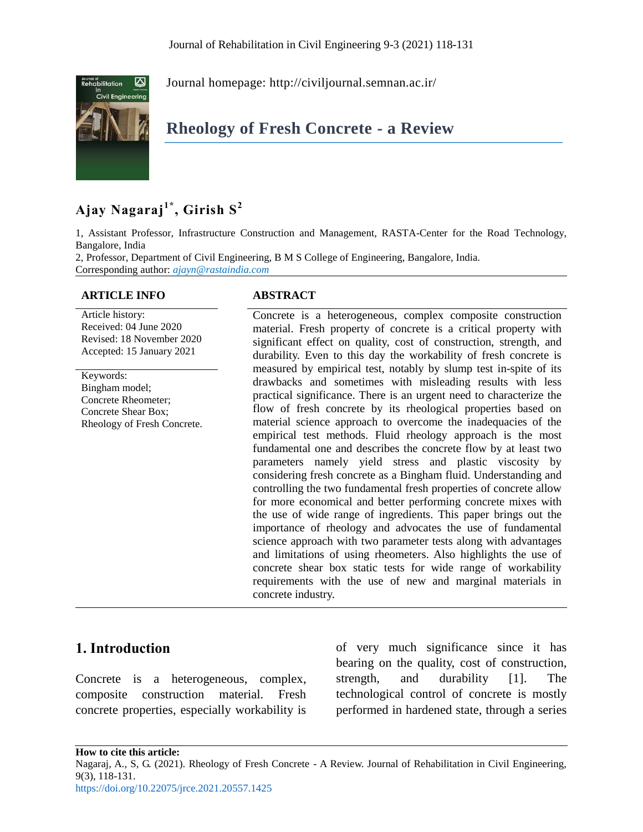

Journal homepage:<http://civiljournal.semnan.ac.ir/>

# **Rheology of Fresh Concrete - a Review**

# **Ajay Nagaraj1\* , Girish S<sup>2</sup>**

1, Assistant Professor, Infrastructure Construction and Management, RASTA-Center for the Road Technology, Bangalore, India

2, Professor, Department of Civil Engineering, B M S College of Engineering, Bangalore, India. Corresponding author: *[ajayn@rastaindia.com](mailto:ajayn@rastaindia.com)*

#### **ARTICLE INFO ABSTRACT**

Article history: Received: 04 June 2020 Revised: 18 November 2020 Accepted: 15 January 2021

Keywords: Bingham model; Concrete Rheometer; Concrete Shear Box; Rheology of Fresh Concrete.

Concrete is a heterogeneous, complex composite construction material. Fresh property of concrete is a critical property with significant effect on quality, cost of construction, strength, and durability. Even to this day the workability of fresh concrete is measured by empirical test, notably by slump test in-spite of its drawbacks and sometimes with misleading results with less practical significance. There is an urgent need to characterize the flow of fresh concrete by its rheological properties based on material science approach to overcome the inadequacies of the empirical test methods. Fluid rheology approach is the most fundamental one and describes the concrete flow by at least two parameters namely yield stress and plastic viscosity by considering fresh concrete as a Bingham fluid. Understanding and controlling the two fundamental fresh properties of concrete allow for more economical and better performing concrete mixes with the use of wide range of ingredients. This paper brings out the importance of rheology and advocates the use of fundamental science approach with two parameter tests along with advantages and limitations of using rheometers. Also highlights the use of concrete shear box static tests for wide range of workability requirements with the use of new and marginal materials in concrete industry.

## **1. Introduction**

Concrete is a heterogeneous, complex, composite construction material. Fresh concrete properties, especially workability is of very much significance since it has bearing on the quality, cost of construction, strength, and durability [1]. The technological control of concrete is mostly performed in hardened state, through a series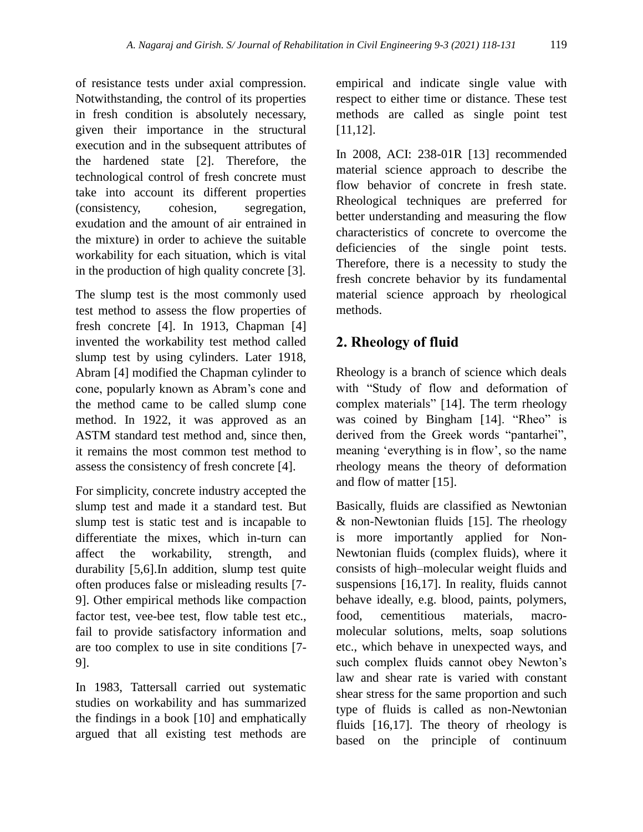of resistance tests under axial compression. Notwithstanding, the control of its properties in fresh condition is absolutely necessary, given their importance in the structural execution and in the subsequent attributes of the hardened state [2]. Therefore, the technological control of fresh concrete must take into account its different properties (consistency, cohesion, segregation, exudation and the amount of air entrained in the mixture) in order to achieve the suitable workability for each situation, which is vital in the production of high quality concrete [3].

The slump test is the most commonly used test method to assess the flow properties of fresh concrete [4]. In 1913, Chapman [4] invented the workability test method called slump test by using cylinders. Later 1918, Abram [4] modified the Chapman cylinder to cone, popularly known as Abram's cone and the method came to be called slump cone method. In 1922, it was approved as an ASTM standard test method and, since then, it remains the most common test method to assess the consistency of fresh concrete [4].

For simplicity, concrete industry accepted the slump test and made it a standard test. But slump test is static test and is incapable to differentiate the mixes, which in-turn can affect the workability, strength, and durability [5,6].In addition, slump test quite often produces false or misleading results [7- 9]. Other empirical methods like compaction factor test, vee-bee test, flow table test etc., fail to provide satisfactory information and are too complex to use in site conditions [7- 9].

In 1983, Tattersall carried out systematic studies on workability and has summarized the findings in a book [10] and emphatically argued that all existing test methods are

empirical and indicate single value with respect to either time or distance. These test methods are called as single point test [11,12].

In 2008, ACI: 238-01R [13] recommended material science approach to describe the flow behavior of concrete in fresh state. Rheological techniques are preferred for better understanding and measuring the flow characteristics of concrete to overcome the deficiencies of the single point tests. Therefore, there is a necessity to study the fresh concrete behavior by its fundamental material science approach by rheological methods.

## **2. Rheology of fluid**

Rheology is a branch of science which deals with "Study of flow and deformation of complex materials" [14]. The term rheology was coined by Bingham [14]. "Rheo" is derived from the Greek words "pantarhei", meaning 'everything is in flow', so the name rheology means the theory of deformation and flow of matter [15].

Basically, fluids are classified as Newtonian & non-Newtonian fluids [15]. The rheology is more importantly applied for Non-Newtonian fluids (complex fluids), where it consists of high–molecular weight fluids and suspensions [16,17]. In reality, fluids cannot behave ideally, e.g. blood, paints, polymers, food, cementitious materials, macromolecular solutions, melts, soap solutions etc., which behave in unexpected ways, and such complex fluids cannot obey Newton's law and shear rate is varied with constant shear stress for the same proportion and such type of fluids is called as non-Newtonian fluids [16,17]. The theory of rheology is based on the principle of continuum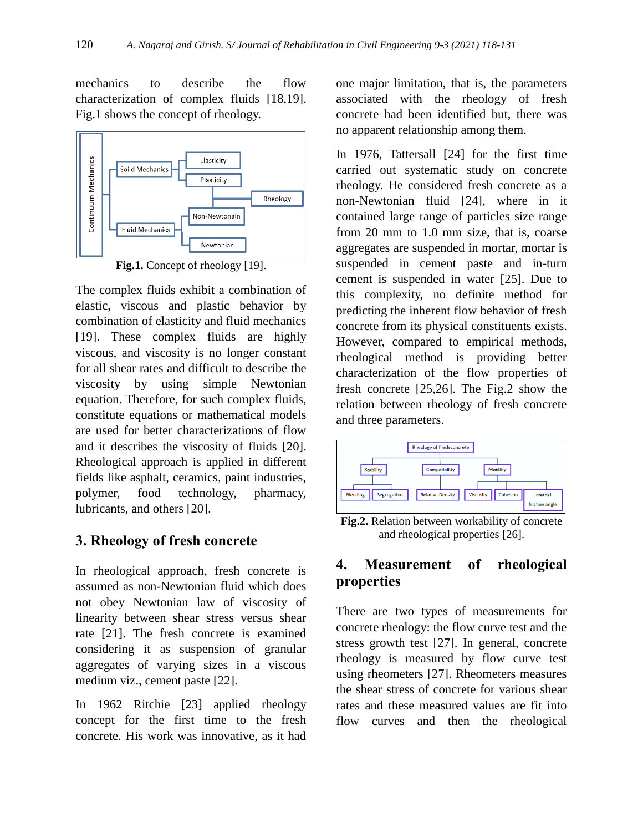mechanics to describe the flow characterization of complex fluids [18,19]. Fig.1 shows the concept of rheology.



**Fig.1.** Concept of rheology [19].

The complex fluids exhibit a combination of elastic, viscous and plastic behavior by combination of elasticity and fluid mechanics [19]. These complex fluids are highly viscous, and viscosity is no longer constant for all shear rates and difficult to describe the viscosity by using simple Newtonian equation. Therefore, for such complex fluids, constitute equations or mathematical models are used for better characterizations of flow and it describes the viscosity of fluids [20]. Rheological approach is applied in different fields like asphalt, ceramics, paint industries, polymer, food technology, pharmacy, lubricants, and others [20].

## **3. Rheology of fresh concrete**

In rheological approach, fresh concrete is assumed as non-Newtonian fluid which does not obey Newtonian law of viscosity of linearity between shear stress versus shear rate [21]. The fresh concrete is examined considering it as suspension of granular aggregates of varying sizes in a viscous medium viz., cement paste [22].

In 1962 Ritchie [23] applied rheology concept for the first time to the fresh concrete. His work was innovative, as it had

one major limitation, that is, the parameters associated with the rheology of fresh concrete had been identified but, there was no apparent relationship among them.

In 1976, Tattersall [24] for the first time carried out systematic study on concrete rheology. He considered fresh concrete as a non-Newtonian fluid [24], where in it contained large range of particles size range from 20 mm to 1.0 mm size, that is, coarse aggregates are suspended in mortar, mortar is suspended in cement paste and in-turn cement is suspended in water [25]. Due to this complexity, no definite method for predicting the inherent flow behavior of fresh concrete from its physical constituents exists. However, compared to empirical methods, rheological method is providing better characterization of the flow properties of fresh concrete [25,26]. The Fig.2 show the relation between rheology of fresh concrete and three parameters.



**Fig.2.** Relation between workability of concrete and rheological properties [26].

## **4. Measurement of rheological properties**

There are two types of measurements for concrete rheology: the flow curve test and the stress growth test [27]. In general, concrete rheology is measured by flow curve test using rheometers [27]. Rheometers measures the shear stress of concrete for various shear rates and these measured values are fit into flow curves and then the rheological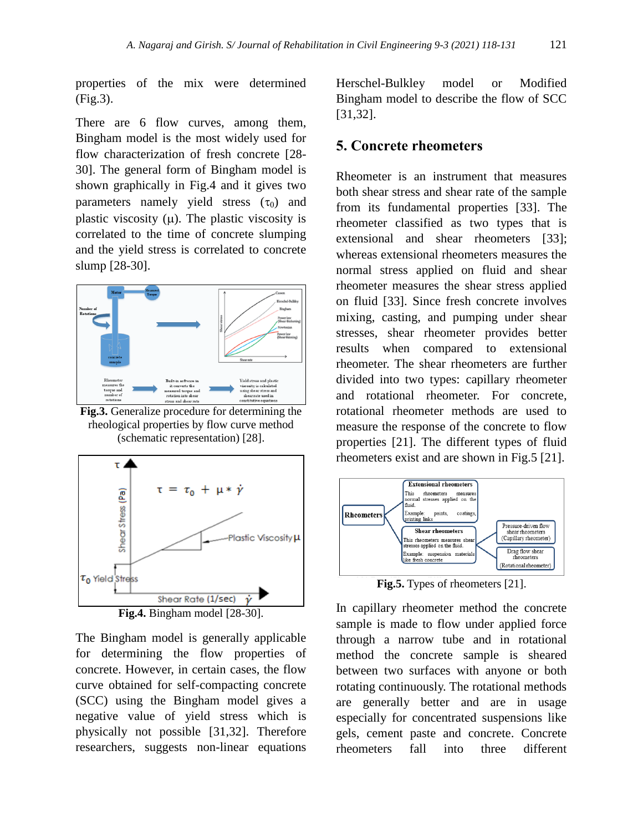properties of the mix were determined (Fig.3).

There are 6 flow curves, among them, Bingham model is the most widely used for flow characterization of fresh concrete [28- 30]. The general form of Bingham model is shown graphically in Fig.4 and it gives two parameters namely yield stress  $(\tau_0)$  and plastic viscosity  $(\mu)$ . The plastic viscosity is correlated to the time of concrete slumping and the yield stress is correlated to concrete slump [28-30].



**Fig.3.** Generalize procedure for determining the rheological properties by flow curve method (schematic representation) [28].



**Fig.4.** Bingham model [28-30].

The Bingham model is generally applicable for determining the flow properties of concrete. However, in certain cases, the flow curve obtained for self-compacting concrete (SCC) using the Bingham model gives a negative value of yield stress which is physically not possible [31,32]. Therefore researchers, suggests non-linear equations

Herschel-Bulkley model or Modified Bingham model to describe the flow of SCC [31,32].

## **5. Concrete rheometers**

Rheometer is an instrument that measures both shear stress and shear rate of the sample from its fundamental properties [33]. The rheometer classified as two types that is extensional and shear rheometers [33]: whereas extensional rheometers measures the normal stress applied on fluid and shear rheometer measures the shear stress applied on fluid [33]. Since fresh concrete involves mixing, casting, and pumping under shear stresses, shear rheometer provides better results when compared to extensional rheometer. The shear rheometers are further divided into two types: capillary rheometer and rotational rheometer. For concrete, rotational rheometer methods are used to measure the response of the concrete to flow properties [21]. The different types of fluid rheometers exist and are shown in Fig.5 [21].



**Fig.5.** Types of rheometers [21].

In capillary rheometer method the concrete sample is made to flow under applied force through a narrow tube and in rotational method the concrete sample is sheared between two surfaces with anyone or both rotating continuously. The rotational methods are generally better and are in usage especially for concentrated suspensions like gels, cement paste and concrete. Concrete rheometers fall into three different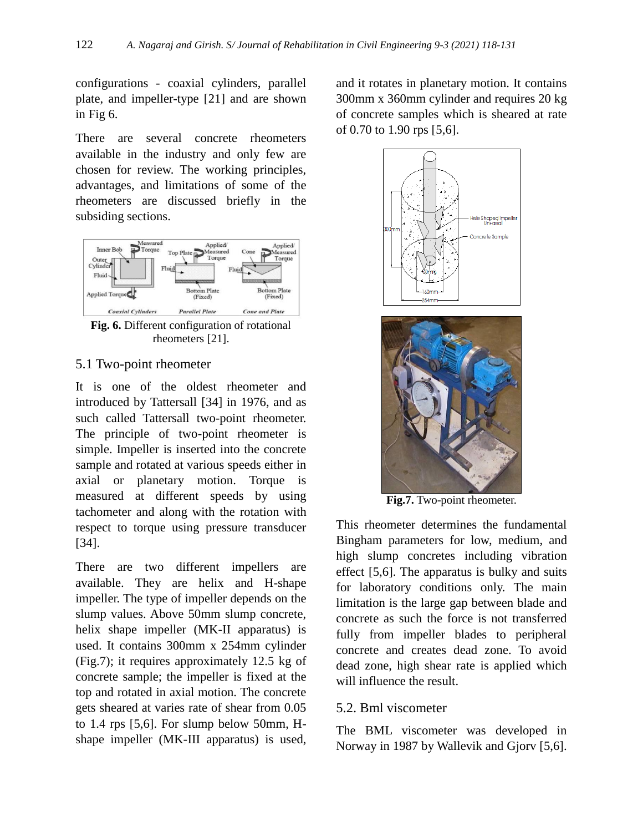configurations - coaxial cylinders, parallel plate, and impeller-type [21] and are shown in Fig 6.

There are several concrete rheometers available in the industry and only few are chosen for review. The working principles, advantages, and limitations of some of the rheometers are discussed briefly in the subsiding sections.



**Fig. 6.** Different configuration of rotational rheometers [21].

### 5.1 Two-point rheometer

It is one of the oldest rheometer and introduced by Tattersall [34] in 1976, and as such called Tattersall two-point rheometer. The principle of two-point rheometer is simple. Impeller is inserted into the concrete sample and rotated at various speeds either in axial or planetary motion. Torque is measured at different speeds by using tachometer and along with the rotation with respect to torque using pressure transducer [34].

There are two different impellers are available. They are helix and H-shape impeller. The type of impeller depends on the slump values. Above 50mm slump concrete, helix shape impeller (MK-II apparatus) is used. It contains 300mm x 254mm cylinder (Fig.7); it requires approximately 12.5 kg of concrete sample; the impeller is fixed at the top and rotated in axial motion. The concrete gets sheared at varies rate of shear from 0.05 to 1.4 rps [5,6]. For slump below 50mm, Hshape impeller (MK-III apparatus) is used,

and it rotates in planetary motion. It contains 300mm x 360mm cylinder and requires 20 kg of concrete samples which is sheared at rate of 0.70 to 1.90 rps [5,6].



**Fig.7.** Two-point rheometer.

This rheometer determines the fundamental Bingham parameters for low, medium, and high slump concretes including vibration effect [5,6]. The apparatus is bulky and suits for laboratory conditions only. The main limitation is the large gap between blade and concrete as such the force is not transferred fully from impeller blades to peripheral concrete and creates dead zone. To avoid dead zone, high shear rate is applied which will influence the result.

#### 5.2. Bml viscometer

The BML viscometer was developed in Norway in 1987 by Wallevik and Gjorv [5,6].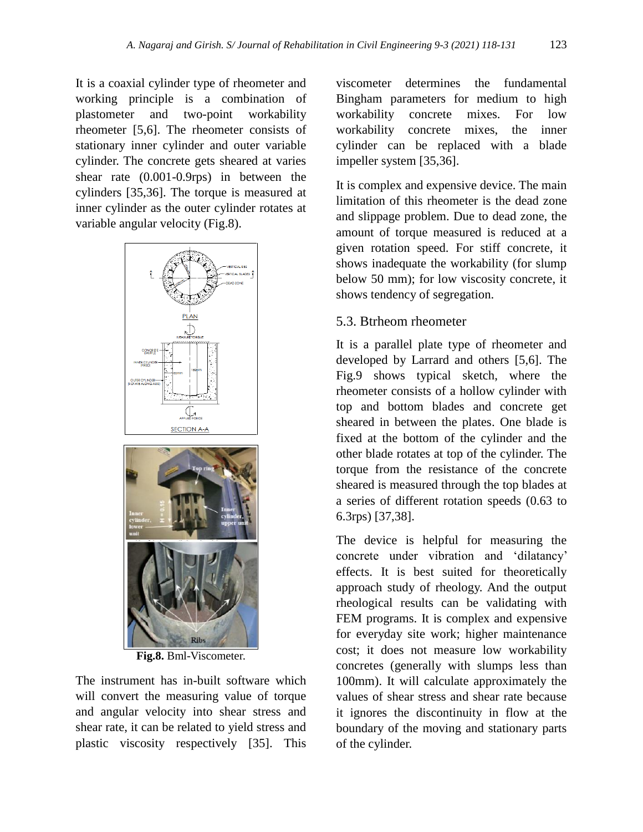It is a coaxial cylinder type of rheometer and working principle is a combination of plastometer and two-point workability rheometer [5,6]. The rheometer consists of stationary inner cylinder and outer variable cylinder. The concrete gets sheared at varies shear rate (0.001-0.9rps) in between the cylinders [35,36]. The torque is measured at inner cylinder as the outer cylinder rotates at variable angular velocity (Fig.8).



**Fig.8.** Bml-Viscometer.

The instrument has in-built software which will convert the measuring value of torque and angular velocity into shear stress and shear rate, it can be related to yield stress and plastic viscosity respectively [35]. This

viscometer determines the fundamental Bingham parameters for medium to high workability concrete mixes. For low workability concrete mixes, the inner cylinder can be replaced with a blade impeller system [35,36].

It is complex and expensive device. The main limitation of this rheometer is the dead zone and slippage problem. Due to dead zone, the amount of torque measured is reduced at a given rotation speed. For stiff concrete, it shows inadequate the workability (for slump below 50 mm); for low viscosity concrete, it shows tendency of segregation.

#### 5.3. Btrheom rheometer

It is a parallel plate type of rheometer and developed by Larrard and others [5,6]. The Fig.9 shows typical sketch, where the rheometer consists of a hollow cylinder with top and bottom blades and concrete get sheared in between the plates. One blade is fixed at the bottom of the cylinder and the other blade rotates at top of the cylinder. The torque from the resistance of the concrete sheared is measured through the top blades at a series of different rotation speeds (0.63 to 6.3rps) [37,38].

The device is helpful for measuring the concrete under vibration and 'dilatancy' effects. It is best suited for theoretically approach study of rheology. And the output rheological results can be validating with FEM programs. It is complex and expensive for everyday site work; higher maintenance cost; it does not measure low workability concretes (generally with slumps less than 100mm). It will calculate approximately the values of shear stress and shear rate because it ignores the discontinuity in flow at the boundary of the moving and stationary parts of the cylinder.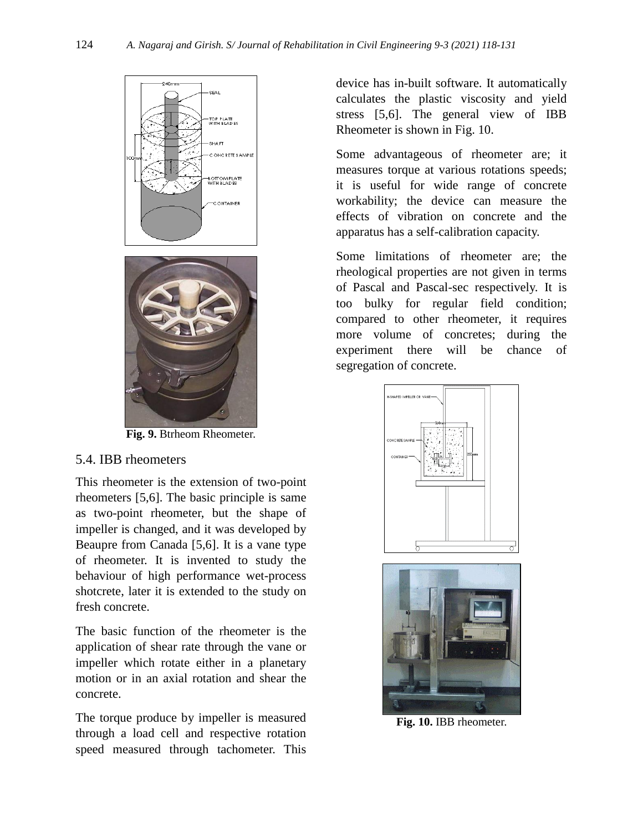

**Fig. 9.** Btrheom Rheometer.

#### 5.4. IBB rheometers

This rheometer is the extension of two-point rheometers [5,6]. The basic principle is same as two-point rheometer, but the shape of impeller is changed, and it was developed by Beaupre from Canada [5,6]. It is a vane type of rheometer. It is invented to study the behaviour of high performance wet-process shotcrete, later it is extended to the study on fresh concrete.

The basic function of the rheometer is the application of shear rate through the vane or impeller which rotate either in a planetary motion or in an axial rotation and shear the concrete.

The torque produce by impeller is measured through a load cell and respective rotation speed measured through tachometer. This

device has in-built software. It automatically calculates the plastic viscosity and yield stress [5,6]. The general view of IBB Rheometer is shown in Fig. 10.

Some advantageous of rheometer are; it measures torque at various rotations speeds; it is useful for wide range of concrete workability; the device can measure the effects of vibration on concrete and the apparatus has a self-calibration capacity.

Some limitations of rheometer are; the rheological properties are not given in terms of Pascal and Pascal-sec respectively. It is too bulky for regular field condition; compared to other rheometer, it requires more volume of concretes; during the experiment there will be chance of segregation of concrete.





**Fig. 10.** IBB rheometer.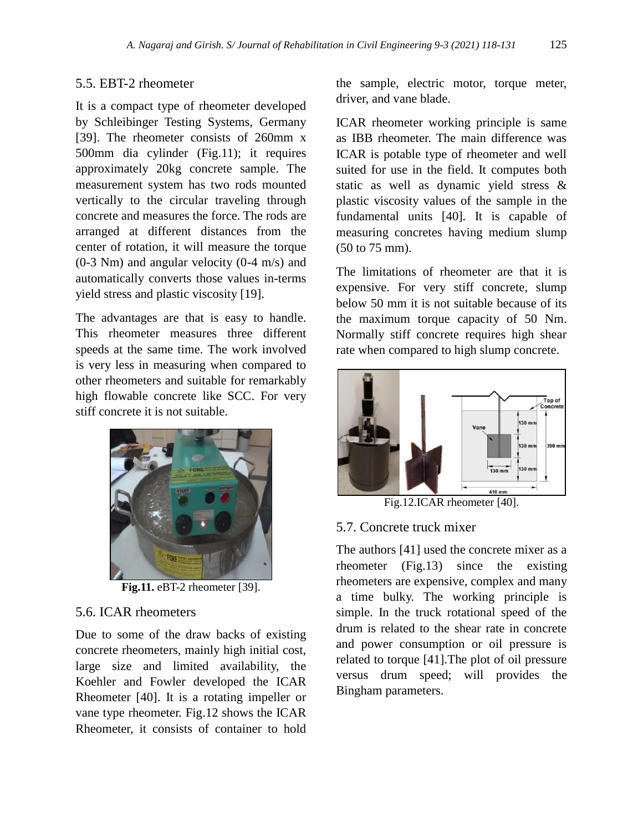#### 5.5. EBT-2 rheometer

It is a compact type of rheometer developed by Schleibinger Testing Systems, Germany [39]. The rheometer consists of 260mm x 500mm dia cylinder (Fig.11); it requires approximately 20kg concrete sample. The measurement system has two rods mounted vertically to the circular traveling through concrete and measures the force. The rods are arranged at different distances from the center of rotation, it will measure the torque (0-3 Nm) and angular velocity (0-4 m/s) and automatically converts those values in-terms yield stress and plastic viscosity [19].

The advantages are that is easy to handle. This rheometer measures three different speeds at the same time. The work involved is very less in measuring when compared to other rheometers and suitable for remarkably high flowable concrete like SCC. For very stiff concrete it is not suitable.



**Fig.11.** eBT-2 rheometer [39].

#### 5.6. ICAR rheometers

Due to some of the draw backs of existing concrete rheometers, mainly high initial cost, large size and limited availability, the Koehler and Fowler developed the ICAR Rheometer [40]. It is a rotating impeller or vane type rheometer. Fig.12 shows the ICAR Rheometer, it consists of container to hold the sample, electric motor, torque meter, driver, and vane blade.

ICAR rheometer working principle is same as IBB rheometer. The main difference was ICAR is potable type of rheometer and well suited for use in the field. It computes both static as well as dynamic yield stress & plastic viscosity values of the sample in the fundamental units [40]. It is capable of measuring concretes having medium slump (50 to 75 mm).

The limitations of rheometer are that it is expensive. For very stiff concrete, slump below 50 mm it is not suitable because of its the maximum torque capacity of 50 Nm. Normally stiff concrete requires high shear rate when compared to high slump concrete.



Fig.12.ICAR rheometer [40].

### 5.7. Concrete truck mixer

The authors [41] used the concrete mixer as a rheometer (Fig.13) since the existing rheometers are expensive, complex and many a time bulky. The working principle is simple. In the truck rotational speed of the drum is related to the shear rate in concrete and power consumption or oil pressure is related to torque [41].The plot of oil pressure versus drum speed; will provides the Bingham parameters.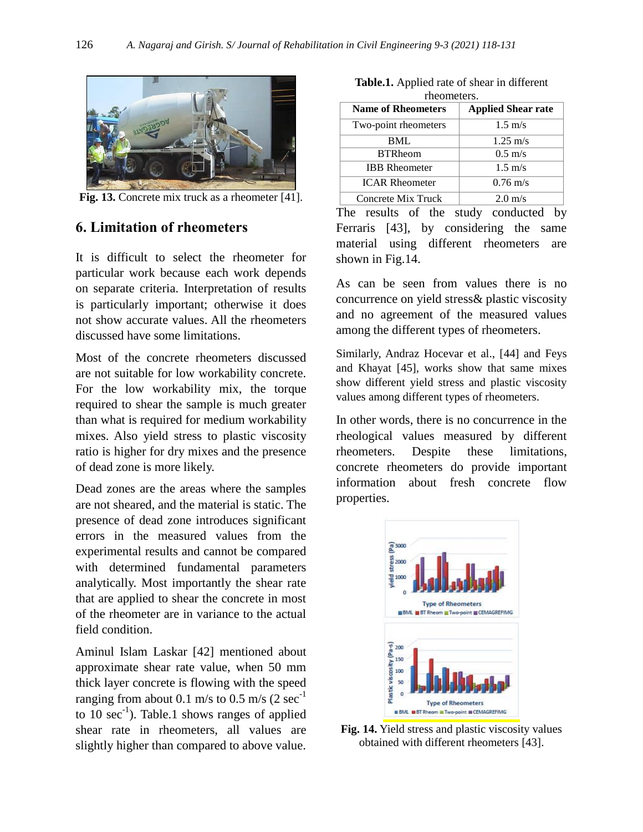

**Fig. 13.** Concrete mix truck as a rheometer [41].

## **6. Limitation of rheometers**

It is difficult to select the rheometer for particular work because each work depends on separate criteria. Interpretation of results is particularly important; otherwise it does not show accurate values. All the rheometers discussed have some limitations.

Most of the concrete rheometers discussed are not suitable for low workability concrete. For the low workability mix, the torque required to shear the sample is much greater than what is required for medium workability mixes. Also yield stress to plastic viscosity ratio is higher for dry mixes and the presence of dead zone is more likely.

Dead zones are the areas where the samples are not sheared, and the material is static. The presence of dead zone introduces significant errors in the measured values from the experimental results and cannot be compared with determined fundamental parameters analytically. Most importantly the shear rate that are applied to shear the concrete in most of the rheometer are in variance to the actual field condition.

Aminul Islam Laskar [42] mentioned about approximate shear rate value, when 50 mm thick layer concrete is flowing with the speed ranging from about 0.1 m/s to 0.5 m/s (2  $\sec^{-1}$ to 10  $sec^{-1}$ ). Table.1 shows ranges of applied shear rate in rheometers, all values are slightly higher than compared to above value.

| rheometers.               |                           |
|---------------------------|---------------------------|
| <b>Name of Rheometers</b> | <b>Applied Shear rate</b> |
| Two-point rheometers      | $1.5 \text{ m/s}$         |
| BML                       | $1.25 \text{ m/s}$        |
| <b>BTRheom</b>            | $0.5 \text{ m/s}$         |
| <b>IBB</b> Rheometer      | $1.5 \text{ m/s}$         |
| <b>ICAR Rheometer</b>     | $0.76 \text{ m/s}$        |

**Table.1.** Applied rate of shear in different

The results of the study conducted by Ferraris [43], by considering the same material using different rheometers are shown in Fig.14.

Concrete Mix Truck  $2.0 \text{ m/s}$ 

As can be seen from values there is no concurrence on yield stress& plastic viscosity and no agreement of the measured values among the different types of rheometers.

Similarly, Andraz Hocevar et al., [44] and Feys and Khayat [45], works show that same mixes show different yield stress and plastic viscosity values among different types of rheometers.

In other words, there is no concurrence in the rheological values measured by different rheometers. Despite these limitations, concrete rheometers do provide important information about fresh concrete flow properties.



**Fig. 14.** Yield stress and plastic viscosity values obtained with different rheometers [43].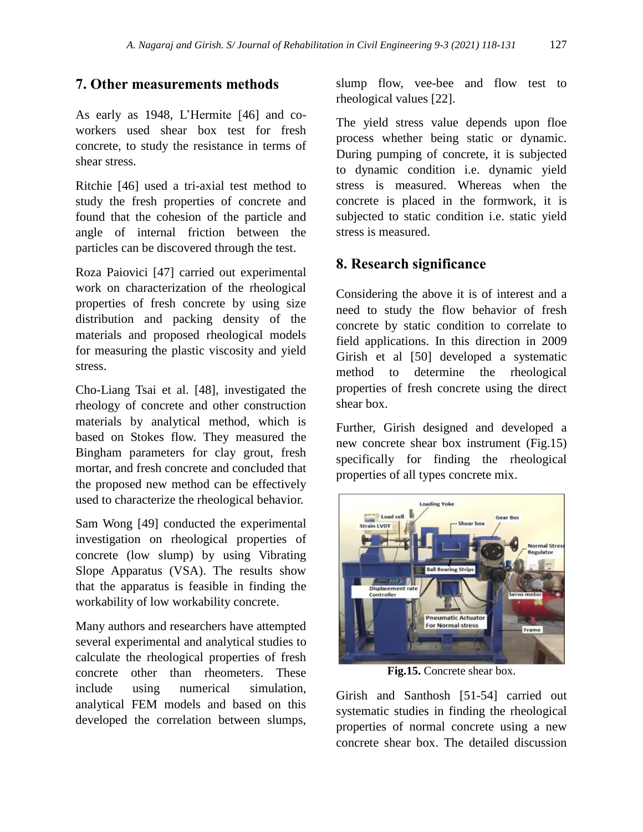## **7. Other measurements methods**

As early as 1948, L'Hermite [46] and coworkers used shear box test for fresh concrete, to study the resistance in terms of shear stress.

Ritchie [46] used a tri-axial test method to study the fresh properties of concrete and found that the cohesion of the particle and angle of internal friction between the particles can be discovered through the test.

Roza Paiovici [47] carried out experimental work on characterization of the rheological properties of fresh concrete by using size distribution and packing density of the materials and proposed rheological models for measuring the plastic viscosity and yield stress.

Cho-Liang Tsai et al. [48], investigated the rheology of concrete and other construction materials by analytical method, which is based on Stokes flow. They measured the Bingham parameters for clay grout, fresh mortar, and fresh concrete and concluded that the proposed new method can be effectively used to characterize the rheological behavior.

Sam Wong [49] conducted the experimental investigation on rheological properties of concrete (low slump) by using Vibrating Slope Apparatus (VSA). The results show that the apparatus is feasible in finding the workability of low workability concrete.

Many authors and researchers have attempted several experimental and analytical studies to calculate the rheological properties of fresh concrete other than rheometers. These include using numerical simulation, analytical FEM models and based on this developed the correlation between slumps,

slump flow, vee-bee and flow test to rheological values [22].

The yield stress value depends upon floe process whether being static or dynamic. During pumping of concrete, it is subjected to dynamic condition i.e. dynamic yield stress is measured. Whereas when the concrete is placed in the formwork, it is subjected to static condition i.e. static yield stress is measured.

## **8. Research significance**

Considering the above it is of interest and a need to study the flow behavior of fresh concrete by static condition to correlate to field applications. In this direction in 2009 Girish et al [50] developed a systematic method to determine the rheological properties of fresh concrete using the direct shear box.

Further, Girish designed and developed a new concrete shear box instrument (Fig.15) specifically for finding the rheological properties of all types concrete mix.



**Fig.15.** Concrete shear box.

Girish and Santhosh [51-54] carried out systematic studies in finding the rheological properties of normal concrete using a new concrete shear box. The detailed discussion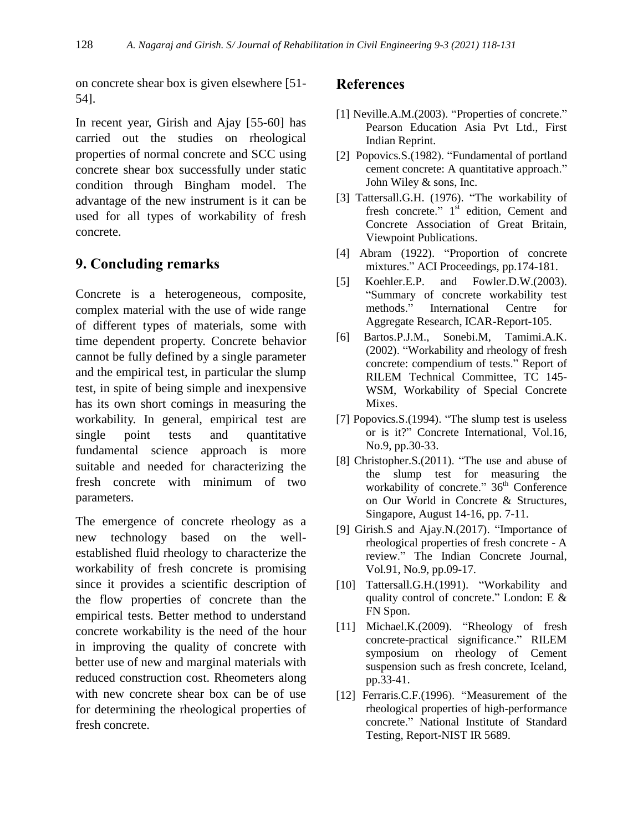on concrete shear box is given elsewhere [51- 54].

In recent year, Girish and Ajay [55-60] has carried out the studies on rheological properties of normal concrete and SCC using concrete shear box successfully under static condition through Bingham model. The advantage of the new instrument is it can be used for all types of workability of fresh concrete.

## **9. Concluding remarks**

Concrete is a heterogeneous, composite, complex material with the use of wide range of different types of materials, some with time dependent property. Concrete behavior cannot be fully defined by a single parameter and the empirical test, in particular the slump test, in spite of being simple and inexpensive has its own short comings in measuring the workability. In general, empirical test are single point tests and quantitative fundamental science approach is more suitable and needed for characterizing the fresh concrete with minimum of two parameters.

The emergence of concrete rheology as a new technology based on the wellestablished fluid rheology to characterize the workability of fresh concrete is promising since it provides a scientific description of the flow properties of concrete than the empirical tests. Better method to understand concrete workability is the need of the hour in improving the quality of concrete with better use of new and marginal materials with reduced construction cost. Rheometers along with new concrete shear box can be of use for determining the rheological properties of fresh concrete.

## **References**

- [1] Neville.A.M.(2003). "Properties of concrete." Pearson Education Asia Pvt Ltd., First Indian Reprint.
- [2] Popovics.S.(1982). "Fundamental of portland cement concrete: A quantitative approach." John Wiley & sons, Inc.
- [3] Tattersall.G.H. (1976). "The workability of fresh concrete." 1<sup>st</sup> edition, Cement and Concrete Association of Great Britain, Viewpoint Publications.
- [4] Abram (1922). "Proportion of concrete mixtures." ACI Proceedings, pp.174-181.
- [5] Koehler.E.P. and Fowler.D.W.(2003). "Summary of concrete workability test methods." International Centre for Aggregate Research, ICAR-Report-105.
- [6] Bartos.P.J.M., Sonebi.M, Tamimi.A.K. (2002). "Workability and rheology of fresh concrete: compendium of tests." Report of RILEM Technical Committee, TC 145- WSM, Workability of Special Concrete Mixes.
- [7] Popovics.S. (1994). "The slump test is useless or is it?" Concrete International, Vol.16, No.9, pp.30-33.
- [8] Christopher.S.(2011). "The use and abuse of the slump test for measuring the workability of concrete."  $36<sup>th</sup>$  Conference on Our World in Concrete & Structures, Singapore, August 14-16, pp. 7-11.
- [9] Girish.S and Ajay.N.(2017). "Importance of rheological properties of fresh concrete - A review." The Indian Concrete Journal, Vol.91, No.9, pp.09-17.
- [10] Tattersall.G.H.(1991). "Workability and quality control of concrete." London: E & FN Spon.
- [11] Michael.K.(2009). "Rheology of fresh concrete-practical significance." RILEM symposium on rheology of Cement suspension such as fresh concrete, Iceland, pp.33-41.
- [12] Ferraris.C.F.(1996). "Measurement of the rheological properties of high-performance concrete." National Institute of Standard Testing, Report-NIST IR 5689.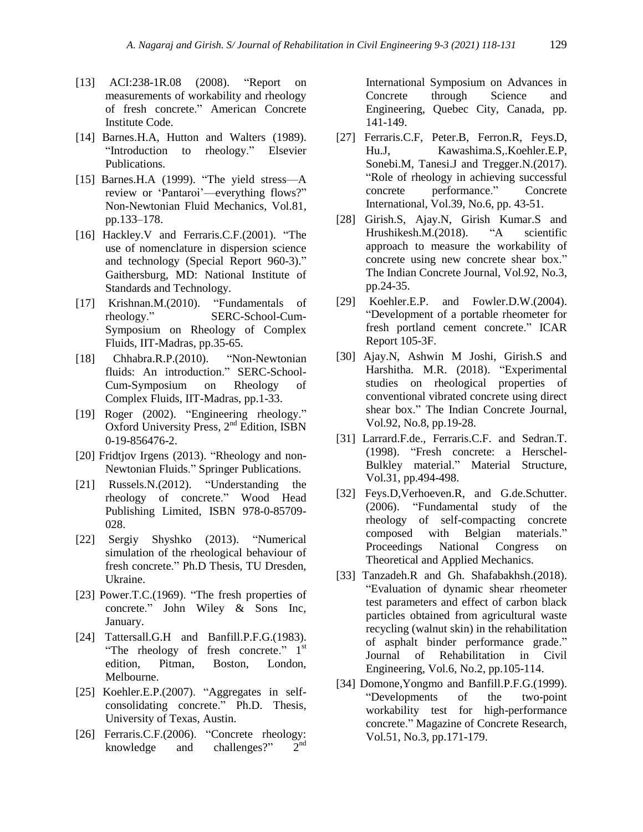- [13] ACI:238-1R.08 (2008). "Report on measurements of workability and rheology of fresh concrete." American Concrete Institute Code.
- [14] Barnes.H.A, Hutton and Walters (1989). "Introduction to rheology." Elsevier Publications.
- [15] Barnes.H.A (1999). "The yield stress—A review or 'Pantaroi'—everything flows?" Non-Newtonian Fluid Mechanics, Vol.81, pp.133–178.
- [16] Hackley. V and Ferraris. C.F. (2001). "The use of nomenclature in dispersion science and technology (Special Report 960-3)." Gaithersburg, MD: National Institute of Standards and Technology.
- [17] Krishnan.M.(2010). "Fundamentals of rheology." SERC-School-Cum-Symposium on Rheology of Complex Fluids, IIT-Madras, pp.35-65.
- [18] Chhabra.R.P.(2010). "Non-Newtonian fluids: An introduction." SERC-School-Cum-Symposium on Rheology of Complex Fluids, IIT-Madras, pp.1-33.
- [19] Roger (2002). "Engineering rheology." Oxford University Press, 2<sup>nd</sup> Edition, ISBN 0-19-856476-2.
- [20] Fridtjov Irgens (2013). "Rheology and non-Newtonian Fluids." Springer Publications.
- [21] Russels.N.(2012). "Understanding the rheology of concrete." Wood Head Publishing Limited, ISBN 978-0-85709- 028.
- [22] Sergiy Shyshko (2013). "Numerical simulation of the rheological behaviour of fresh concrete." Ph.D Thesis, TU Dresden, Ukraine.
- [23] Power.T.C.(1969). "The fresh properties of concrete." John Wiley & Sons Inc, January.
- [24] Tattersall.G.H and Banfill.P.F.G.(1983). "The rheology of fresh concrete." 1<sup>st</sup> edition, Pitman, Boston, London, Melbourne.
- [25] Koehler.E.P.(2007). "Aggregates in selfconsolidating concrete." Ph.D. Thesis, University of Texas, Austin.
- [26] Ferraris.C.F.(2006). "Concrete rheology: knowledge and challenges?"  $2<sup>nd</sup>$

International Symposium on Advances in Concrete through Science and Engineering, Quebec City, Canada, pp. 141-149.

- [27] Ferraris.C.F, Peter.B, Ferron.R, Feys.D, Hu.J, Kawashima.S,.Koehler.E.P, Sonebi.M, Tanesi.J and Tregger.N.(2017). "Role of rheology in achieving successful concrete performance." Concrete International, Vol.39, No.6, pp. 43-51.
- [28] Girish.S, Ajay.N, Girish Kumar.S and Hrushikesh.M.(2018). "A scientific approach to measure the workability of concrete using new concrete shear box." The Indian Concrete Journal, Vol.92, No.3, pp.24-35.
- [29] Koehler.E.P. and Fowler.D.W.(2004). "Development of a portable rheometer for fresh portland cement concrete." ICAR Report 105-3F.
- [30] Ajay.N, Ashwin M Joshi, Girish.S and Harshitha. M.R. (2018). "Experimental studies on rheological properties of conventional vibrated concrete using direct shear box." The Indian Concrete Journal, Vol.92, No.8, pp.19-28.
- [31] Larrard.F.de., Ferraris.C.F. and Sedran.T. (1998). "Fresh concrete: a Herschel-Bulkley material." Material Structure, Vol.31, pp.494-498.
- [32] Feys.D, Verhoeven.R, and G.de.Schutter. (2006). "Fundamental study of the rheology of self-compacting concrete composed with Belgian materials." Proceedings National Congress on Theoretical and Applied Mechanics.
- [33] Tanzadeh.R and Gh. Shafabakhsh.(2018). "Evaluation of dynamic shear rheometer test parameters and effect of carbon black particles obtained from agricultural waste recycling (walnut skin) in the rehabilitation of asphalt binder performance grade." Journal of Rehabilitation in Civil Engineering, Vol.6, No.2, pp.105-114.
- [34] Domone, Yongmo and Banfill.P.F.G.(1999). "Developments of the two-point workability test for high-performance concrete." Magazine of Concrete Research, Vol.51, No.3, pp.171-179.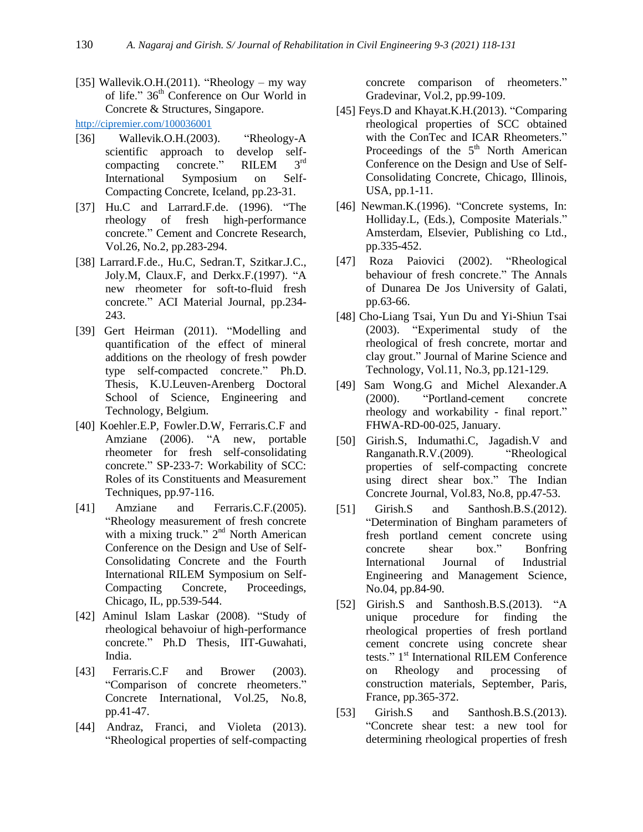[35] Wallevik.O.H. $(2011)$ . "Rheology – my way of life." 36<sup>th</sup> Conference on Our World in Concrete & Structures, Singapore.

<http://cipremier.com/100036001>

- [36] Wallevik.O.H.(2003). "Rheology-A scientific approach to develop selfcompacting concrete." RILEM 3rd International Symposium on Self-Compacting Concrete, Iceland, pp.23-31.
- [37] Hu.C and Larrard.F.de. (1996). "The rheology of fresh high-performance concrete." Cement and Concrete Research, Vol.26, No.2, pp.283-294.
- [38] Larrard.F.de., Hu.C, Sedran.T, Szitkar.J.C., Joly.M, Claux.F, and Derkx.F.(1997). "A new rheometer for soft-to-fluid fresh concrete." ACI Material Journal, pp.234- 243.
- [39] Gert Heirman (2011). "Modelling and quantification of the effect of mineral additions on the rheology of fresh powder type self-compacted concrete." Ph.D. Thesis, K.U.Leuven-Arenberg Doctoral School of Science, Engineering and Technology, Belgium.
- [40] Koehler.E.P, Fowler.D.W, Ferraris.C.F and Amziane (2006). "A new, portable rheometer for fresh self-consolidating concrete." SP-233-7: Workability of SCC: Roles of its Constituents and Measurement Techniques, pp.97-116.
- [41] Amziane and Ferraris.C.F.(2005). "Rheology measurement of fresh concrete with a mixing truck." 2<sup>nd</sup> North American Conference on the Design and Use of Self-Consolidating Concrete and the Fourth International RILEM Symposium on Self-Compacting Concrete, Proceedings, Chicago, IL, pp.539-544.
- [42] Aminul Islam Laskar (2008). "Study of rheological behavoiur of high-performance concrete." Ph.D Thesis, IIT-Guwahati, India.
- [43] Ferraris.C.F and Brower (2003). "Comparison of concrete rheometers." Concrete International, Vol.25, No.8, pp.41-47.
- [44] Andraz, Franci, and Violeta (2013). "Rheological properties of self-compacting

concrete comparison of rheometers." Gradevinar, Vol.2, pp.99-109.

- [45] Feys.D and Khayat.K.H.(2013). "Comparing rheological properties of SCC obtained with the ConTec and ICAR Rheometers." Proceedings of the  $5<sup>th</sup>$  North American Conference on the Design and Use of Self-Consolidating Concrete, Chicago, Illinois, USA, pp.1-11.
- [46] Newman.K.(1996). "Concrete systems, In: Holliday.L, (Eds.), Composite Materials." Amsterdam, Elsevier, Publishing co Ltd., pp.335-452.
- [47] Roza Paiovici (2002). "Rheological behaviour of fresh concrete." The Annals of Dunarea De Jos University of Galati, pp.63-66.
- [48] Cho-Liang Tsai, Yun Du and Yi-Shiun Tsai (2003). "Experimental study of the rheological of fresh concrete, mortar and clay grout." Journal of Marine Science and Technology, Vol.11, No.3, pp.121-129.
- [49] Sam Wong.G and Michel Alexander.A (2000). "Portland-cement concrete rheology and workability - final report." FHWA-RD-00-025, January.
- [50] Girish.S, Indumathi.C, Jagadish.V and Ranganath.R.V.(2009). "Rheological properties of self-compacting concrete using direct shear box." The Indian Concrete Journal, Vol.83, No.8, pp.47-53.
- [51] Girish.S and Santhosh.B.S.(2012). "Determination of Bingham parameters of fresh portland cement concrete using concrete shear box." Bonfring International Journal of Industrial Engineering and Management Science, No.04, pp.84-90.
- [52] Girish.S and Santhosh.B.S.(2013). "A unique procedure for finding the rheological properties of fresh portland cement concrete using concrete shear tests." 1<sup>st</sup> International RILEM Conference on Rheology and processing of construction materials, September, Paris, France, pp.365-372.
- [53] Girish.S and Santhosh.B.S.(2013). "Concrete shear test: a new tool for determining rheological properties of fresh